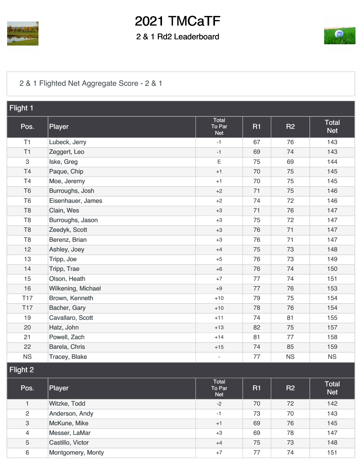

## 2021 TMCaTF

#### 2 & 1 Rd2 Leaderboard



### [2 & 1 Flighted Net Aggregate Score - 2 & 1](https://cdn2.golfgenius.com/v2tournaments/7465678332433021915?called_from=&round_index=12)

| Flight 1                  |                    |                                      |           |                |                            |
|---------------------------|--------------------|--------------------------------------|-----------|----------------|----------------------------|
| Pos.                      | Player             | <b>Total</b><br>To Par<br><b>Net</b> | <b>R1</b> | <b>R2</b>      | <b>Total</b><br><b>Net</b> |
| T1                        | Lubeck, Jerry      | $-1$                                 | 67        | 76             | 143                        |
| T1                        | Zeggert, Leo       | $-1$                                 | 69        | 74             | 143                        |
| $\mathbf{3}$              | Iske, Greg         | Ε                                    | 75        | 69             | 144                        |
| T4                        | Paque, Chip        | $+1$                                 | 70        | 75             | 145                        |
| T4                        | Moe, Jeremy        | $+1$                                 | 70        | 75             | 145                        |
| T <sub>6</sub>            | Burroughs, Josh    | $+2$                                 | 71        | 75             | 146                        |
| T <sub>6</sub>            | Eisenhauer, James  | $+2$                                 | 74        | 72             | 146                        |
| T <sub>8</sub>            | Clain, Wes         | $+3$                                 | 71        | 76             | 147                        |
| T <sub>8</sub>            | Burroughs, Jason   | $+3$                                 | 75        | 72             | 147                        |
| T <sub>8</sub>            | Zeedyk, Scott      | $+3$                                 | 76        | 71             | 147                        |
| T <sub>8</sub>            | Berenz, Brian      | $+3$                                 | 76        | 71             | 147                        |
| 12                        | Ashley, Joey       | $+4$                                 | 75        | 73             | 148                        |
| 13                        | Tripp, Joe         | $+5$                                 | 76        | 73             | 149                        |
| 14                        | Tripp, Trae        | $+6$                                 | 76        | 74             | 150                        |
| 15                        | Olson, Heath       | $+7$                                 | 77        | 74             | 151                        |
| 16                        | Wilkening, Michael | $+9$                                 | 77        | 76             | 153                        |
| <b>T17</b>                | Brown, Kenneth     | $+10$                                | 79        | 75             | 154                        |
| <b>T17</b>                | Bacher, Gary       | $+10$                                | 78        | 76             | 154                        |
| 19                        | Cavallaro, Scott   | $+11$                                | 74        | 81             | 155                        |
| 20                        | Hatz, John         | $+13$                                | 82        | 75             | 157                        |
| 21                        | Powell, Zach       | $+14$                                | 81        | 77             | 158                        |
| 22                        | Barela, Chris      | $+15$                                | 74        | 85             | 159                        |
| <b>NS</b>                 | Tracey, Blake      | $\overline{\phantom{a}}$             | 77        | <b>NS</b>      | <b>NS</b>                  |
| $F$ light 2               |                    |                                      |           |                |                            |
| Pos.                      | Player             | Total<br>To Par<br><b>Net</b>        | <b>R1</b> | R <sub>2</sub> | <b>Total</b><br><b>Net</b> |
| $\mathbf{1}$              | Witzke, Todd       | $-2$                                 | 70        | 72             | 142                        |
| $\mathbf{2}$              | Anderson, Andy     | $-1$                                 | 73        | 70             | 143                        |
| $\ensuremath{\mathsf{3}}$ | McKune, Mike       | $+1$                                 | 69        | 76             | 145                        |
| $\overline{4}$            | Messer, LaMar      | $+3$                                 | 69        | 78             | 147                        |
| 5                         | Castillo, Victor   | $+4$                                 | 75        | 73             | 148                        |

6 [Montgomery, Monty](https://cdn2.golfgenius.com/tournaments2/details/7483194362667482007) 151

+7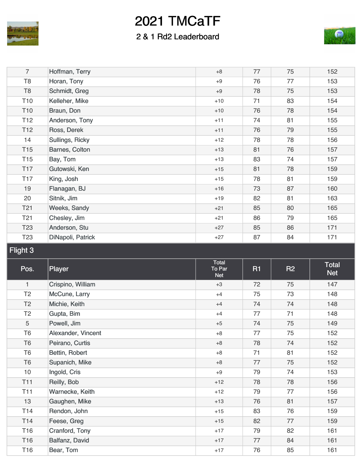

# 2021 TMCaTF

#### 2 & 1 Rd2 Leaderboard



| $\overline{7}$  | Hoffman, Terry    | $+8$  | 77 | 75 | 152 |
|-----------------|-------------------|-------|----|----|-----|
| T <sub>8</sub>  | Horan, Tony       | $+9$  | 76 | 77 | 153 |
| T <sub>8</sub>  | Schmidt, Greg     | $+9$  | 78 | 75 | 153 |
| T <sub>10</sub> | Kelleher, Mike    | $+10$ | 71 | 83 | 154 |
| T <sub>10</sub> | Braun, Don        | $+10$ | 76 | 78 | 154 |
| T <sub>12</sub> | Anderson, Tony    | $+11$ | 74 | 81 | 155 |
| T <sub>12</sub> | Ross, Derek       | $+11$ | 76 | 79 | 155 |
| 14              | Sullings, Ricky   | $+12$ | 78 | 78 | 156 |
| T <sub>15</sub> | Barnes, Colton    | $+13$ | 81 | 76 | 157 |
| T <sub>15</sub> | Bay, Tom          | $+13$ | 83 | 74 | 157 |
| T <sub>17</sub> | Gutowski, Ken     | $+15$ | 81 | 78 | 159 |
| T <sub>17</sub> | King, Josh        | $+15$ | 78 | 81 | 159 |
| 19              | Flanagan, BJ      | $+16$ | 73 | 87 | 160 |
| 20              | Sitnik, Jim       | $+19$ | 82 | 81 | 163 |
| T <sub>21</sub> | Weeks, Sandy      | $+21$ | 85 | 80 | 165 |
| T <sub>21</sub> | Chesley, Jim      | $+21$ | 86 | 79 | 165 |
| T <sub>23</sub> | Anderson, Stu     | $+27$ | 85 | 86 | 171 |
| T <sub>23</sub> | DiNapoli, Patrick | $+27$ | 87 | 84 | 171 |

Flight 3

| Pos.            | Player             | Total<br>To Par<br><b>Net</b> | <b>R1</b> | <b>R2</b> | <b>Total</b><br><b>Net</b> |
|-----------------|--------------------|-------------------------------|-----------|-----------|----------------------------|
| 1               | Crispino, William  | $+3$                          | 72        | 75        | 147                        |
| T <sub>2</sub>  | McCune, Larry      | $+4$                          | 75        | 73        | 148                        |
| T <sub>2</sub>  | Michie, Keith      | $+4$                          | 74        | 74        | 148                        |
| T <sub>2</sub>  | Gupta, Bim         | $+4$                          | 77        | 71        | 148                        |
| $\sqrt{5}$      | Powell, Jim        | $+5$                          | 74        | 75        | 149                        |
| T <sub>6</sub>  | Alexander, Vincent | $+8$                          | 77        | 75        | 152                        |
| T <sub>6</sub>  | Peirano, Curtis    | $+8$                          | 78        | 74        | 152                        |
| T <sub>6</sub>  | Bettin, Robert     | $+8$                          | 71        | 81        | 152                        |
| T <sub>6</sub>  | Supanich, Mike     | $+8$                          | 77        | 75        | 152                        |
| 10              | Ingold, Cris       | $+9$                          | 79        | 74        | 153                        |
| T <sub>11</sub> | Reilly, Bob        | $+12$                         | 78        | 78        | 156                        |
| T <sub>11</sub> | Warnecke, Keith    | $+12$                         | 79        | 77        | 156                        |
| 13              | Gaughen, Mike      | $+13$                         | 76        | 81        | 157                        |
| T <sub>14</sub> | Rendon, John       | $+15$                         | 83        | 76        | 159                        |
| T14             | Feese, Greg        | $+15$                         | 82        | 77        | 159                        |
| T16             | Cranford, Tony     | $+17$                         | 79        | 82        | 161                        |
| T <sub>16</sub> | Balfanz, David     | $+17$                         | 77        | 84        | 161                        |
| T16             | Bear, Tom          | $+17$                         | 76        | 85        | 161                        |